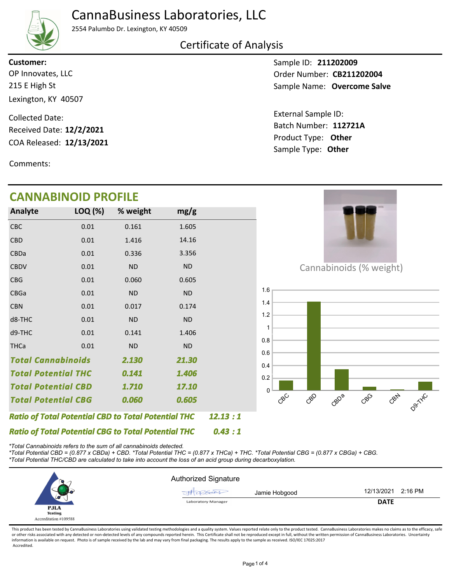## CannaBusiness Laboratories, LLC



2554 Palumbo Dr. Lexington, KY 40509

#### Certificate of Analysis

**Customer:**

215 E High St Lexington, KY 40507 OP Innovates, LLC

COA Released: 12/13/2021 Collected Date: Received Date: **12/2/2021**

Comments:

# **CANNABINOID PROFILE**

Sample ID: **211202009** Sample Name: **Overcome Salve** Order Number: CB211202004

Product Type: **Other 12/13/2021 112721A** Batch Number: External Sample ID: Sample Type: **Other**

|                            | CANNABINOID PROFILE                                        |           |           |         |                                       |
|----------------------------|------------------------------------------------------------|-----------|-----------|---------|---------------------------------------|
| Analyte                    | LOQ (%)                                                    | % weight  | mg/g      |         |                                       |
| CBC                        | 0.01                                                       | 0.161     | 1.605     |         |                                       |
| <b>CBD</b>                 | 0.01                                                       | 1.416     | 14.16     |         |                                       |
| CBDa                       | 0.01                                                       | 0.336     | 3.356     |         |                                       |
| <b>CBDV</b>                | 0.01                                                       | <b>ND</b> | <b>ND</b> |         | Cannabinoids (% weight)               |
| <b>CBG</b>                 | 0.01                                                       | 0.060     | 0.605     |         |                                       |
| CBGa                       | 0.01                                                       | <b>ND</b> | <b>ND</b> |         | 1.6                                   |
| <b>CBN</b>                 | 0.01                                                       | 0.017     | 0.174     |         | 1.4                                   |
| d8-THC                     | 0.01                                                       | <b>ND</b> | <b>ND</b> |         | $1.2$                                 |
| d9-THC                     | 0.01                                                       | 0.141     | 1.406     |         | 0.8                                   |
| <b>THCa</b>                | 0.01                                                       | <b>ND</b> | <b>ND</b> |         | 0.6                                   |
| <b>Total Cannabinoids</b>  |                                                            | 2.130     | 21.30     |         | 0.4                                   |
| <b>Total Potential THC</b> |                                                            | 0.141     | 1.406     |         | 0.2                                   |
| <b>Total Potential CBD</b> |                                                            | 1.710     | 17.10     |         | $\Omega$                              |
| <b>Total Potential CBG</b> |                                                            | 0.060     | 0.605     |         | CBN<br>$C^{8C}$<br>CBO<br>GBDB<br>CBG |
|                            | <b>Ratio of Total Potential CBD to Total Potential THC</b> |           |           | 12.13:1 |                                       |
|                            | <b>Ratio of Total Potential CBG to Total Potential THC</b> |           |           | 0.43:1  |                                       |

*\*Total Cannabinoids refers to the sum of all cannabinoids detected.*

*\*Total Potential CBD = (0.877 x CBDa) + CBD. \*Total Potential THC = (0.877 x THCa) + THC. \*Total Potential CBG = (0.877 x CBGa) + CBG. \*Total Potential THC/CBD are calculated to take into account the loss of an acid group during decarboxylation.*



This product has been tested by CannaBusiness Laboratories using validated testing methodologies and a quality system. Values reported relate only to the product tested. CannaBusiness Laboratories makes no claims as to the or other risks associated with any detected or non-detected levels of any compounds reported herein. This Certificate shall not be reproduced except in full, without the written permission of CannaBusiness Laboratories. Un information is available on request. Photo is of sample received by the lab and may vary from final packaging. The results apply to the sample as received. ISO/IEC 17025:2017 Accredited.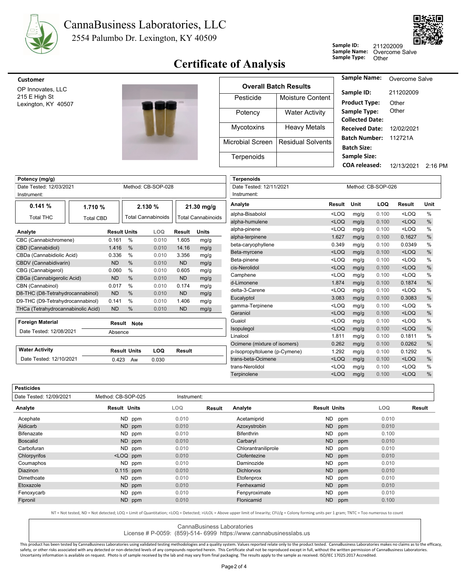



### **Sample 1yt** Certificate of Analysis

| Jampic ID.   | 211202 |
|--------------|--------|
| Sample Name: | Overco |
| Sample Type: | Other  |

**Sample ID:** me Salve 2009



| <b>Customer</b>                      |                         |                              | <b>Sample Name:</b>                         |
|--------------------------------------|-------------------------|------------------------------|---------------------------------------------|
| OP Innovates, LLC                    |                         | <b>Overall Batch Results</b> |                                             |
| 215 E High St<br>Lexington, KY 40507 | Pesticide               | Moisture Content             | Sample ID:<br><b>Product Type:</b>          |
|                                      | Potency                 | <b>Water Activity</b>        | Sample Type:<br><b>Collected Date</b>       |
|                                      | <b>Mycotoxins</b>       | <b>Heavy Metals</b>          | <b>Received Date</b>                        |
|                                      | <b>Microbial Screen</b> | <b>Residual Solvents</b>     | <b>Batch Number</b><br><b>Batch Size:</b>   |
|                                      | Terpenoids              |                              | <b>Sample Size:</b><br><b>COA</b> released: |

| <b>Sample Name:</b>    | Overcome Salve |           |
|------------------------|----------------|-----------|
| Sample ID:             | 211202009      |           |
| <b>Product Type:</b>   | Other          |           |
| Sample Type:           | Other          |           |
| <b>Collected Date:</b> |                |           |
| Received Date:         | 12/02/2021     |           |
| <b>Batch Number:</b>   | 112721A        |           |
| <b>Batch Size:</b>     |                |           |
| <b>Sample Size:</b>    |                |           |
| COA released:          | 12/13/2021     | $2.16$ PM |
|                        |                |           |

| Potency (mg/g)                     |                  |                     |                     |                           |               | Terpenoids                |                                               |         |      |       |                                             |               |
|------------------------------------|------------------|---------------------|---------------------|---------------------------|---------------|---------------------------|-----------------------------------------------|---------|------|-------|---------------------------------------------|---------------|
| Date Tested: 12/03/2021            |                  |                     |                     | Method: CB-SOP-028        |               |                           | Method: CB-SOP-026<br>Date Tested: 12/11/2021 |         |      |       |                                             |               |
| Instrument:                        |                  |                     |                     |                           |               |                           | Instrument:                                   |         |      |       |                                             |               |
| 0.141%                             | 1.710 %          |                     |                     | 2.130 %                   | 21.30 mg/g    |                           | Analyte                                       | Result  | Unit | LOQ   | Result                                      | Unit          |
| <b>Total THC</b>                   | <b>Total CBD</b> |                     |                     | <b>Total Cannabinoids</b> |               | <b>Total Cannabinoids</b> | alpha-Bisabolol                               | $<$ LOQ | mg/g | 0.100 | $<$ LOQ                                     | $\%$          |
|                                    |                  |                     |                     |                           |               |                           | alpha-humulene                                | $<$ LOQ | mg/g | 0.100 | $<$ LOQ                                     | $\%$          |
| Analyte                            |                  | <b>Result Units</b> |                     | <b>LOQ</b>                | <b>Result</b> | <b>Units</b>              | alpha-pinene                                  | $<$ LOQ | mg/g | 0.100 | $<$ LOQ                                     | $\%$          |
| CBC (Cannabichromene)              |                  | 0.161               | $\%$                | 0.010                     | 1.605         | mg/g                      | alpha-terpinene                               | 1.627   | mg/g | 0.100 | 0.1627                                      | $\frac{0}{0}$ |
| CBD (Cannabidiol)                  |                  | 1.416               | $\frac{0}{0}$       | 0.010                     | 14.16         | mg/g                      | beta-caryophyllene                            | 0.349   | mg/g | 0.100 | 0.0349                                      | $\%$          |
| CBDa (Cannabidiolic Acid)          |                  | 0.336               | $\frac{0}{0}$       | 0.010                     | 3.356         | mg/g                      | Beta-myrcene                                  | $<$ LOQ | mg/g | 0.100 | $<$ LOQ                                     | $\frac{0}{0}$ |
| CBDV (Cannabidivarin)              |                  | <b>ND</b>           | %                   | 0.010                     | <b>ND</b>     | mg/g                      | Beta-pinene                                   | $<$ LOQ | mg/g | 0.100 | $<$ LOQ                                     | %             |
| CBG (Cannabigerol)                 |                  | 0.060               | %                   | 0.010                     | 0.605         | mg/g                      | cis-Nerolidol                                 | $<$ LOQ | mg/g | 0.100 | $<$ LOQ                                     | $\frac{0}{0}$ |
| CBGa (Cannabigerolic Acid)         |                  | <b>ND</b>           | $\frac{0}{0}$       | 0.010                     | <b>ND</b>     | mg/g                      | Camphene                                      | $<$ LOQ | mg/g | 0.100 | $<$ LOQ                                     | $\%$          |
| CBN (Cannabinol)                   |                  | 0.017               | $\frac{0}{0}$       | 0.010                     | 0.174         | mg/g                      | d-Limonene                                    | 1.874   | mg/g | 0.100 | 0.1874                                      | $\%$          |
| D8-THC (D8-Tetrahydrocannabinol)   |                  | <b>ND</b>           | %                   | 0.010                     | <b>ND</b>     | mg/g                      | delta-3-Carene                                | $<$ LOQ | mg/g | 0.100 | $<$ LOQ                                     | $\%$          |
| D9-THC (D9-Tetrahydrocannabinol)   |                  | 0.141               | %                   | 0.010                     | 1.406         | mg/g                      | Eucalyptol                                    | 3.083   | mg/g | 0.100 | 0.3083                                      | $\frac{0}{0}$ |
| THCa (Tetrahydrocannabinolic Acid) |                  | <b>ND</b>           | %                   | 0.010                     | <b>ND</b>     | mg/g                      | gamma-Terpinene                               | $<$ LOQ | mg/g | 0.100 | <loq< td=""><td><math>\%</math></td></loq<> | $\%$          |
|                                    |                  |                     |                     |                           |               |                           | Geraniol                                      | $<$ LOQ | mg/g | 0.100 | $<$ LOQ                                     | %             |
| <b>Foreign Material</b>            |                  |                     | <b>Result Note</b>  |                           |               |                           | Guaiol                                        | $<$ LOQ | mg/g | 0.100 | $<$ LOQ                                     | $\%$          |
| Date Tested: 12/08/2021            |                  | Absence             |                     |                           |               |                           | Isopulegol                                    | $<$ LOQ | mg/g | 0.100 | $<$ LOQ                                     | $\frac{0}{0}$ |
|                                    |                  |                     |                     |                           |               |                           | Linalool                                      | 1.811   | mg/g | 0.100 | 0.1811                                      | $\%$          |
|                                    |                  |                     |                     |                           |               |                           | Ocimene (mixture of isomers)                  | 0.262   | mg/g | 0.100 | 0.0262                                      | $\%$          |
| <b>Water Activity</b>              |                  |                     | <b>Result Units</b> | <b>LOQ</b>                | Result        |                           | p-Isopropyltoluene (p-Cymene)                 | 1.292   | mg/g | 0.100 | 0.1292                                      | $\%$          |
| Date Tested: 12/10/2021            |                  | 0.423               | Aw                  | 0.030                     |               |                           | trans-beta-Ocimene                            | $<$ LOQ | mg/g | 0.100 | $<$ LOQ                                     | $\%$          |
|                                    |                  |                     |                     |                           |               |                           | trans-Nerolidol                               | $<$ LOQ | mg/g | 0.100 | $<$ LOQ                                     | $\%$          |
|                                    |                  |                     |                     |                           |               |                           | Terpinolene                                   | $<$ LOQ | mg/g | 0.100 | $<$ LOQ                                     | $\frac{0}{0}$ |
|                                    |                  |                     |                     |                           |               |                           |                                               |         |      |       |                                             |               |
| <b>Pesticides</b>                  |                  |                     |                     |                           |               |                           |                                               |         |      |       |                                             |               |

| Date Tested: 12/09/2021 | Method: CB-SOP-025                                                                                                     | Instrument: |        |                     |                     |            |               |
|-------------------------|------------------------------------------------------------------------------------------------------------------------|-------------|--------|---------------------|---------------------|------------|---------------|
| Analyte                 | <b>Result Units</b>                                                                                                    | LOQ         | Result | Analyte             | <b>Result Units</b> | <b>LOQ</b> | <b>Result</b> |
| Acephate                | ND ppm                                                                                                                 | 0.010       |        | Acetamiprid         | ND<br>ppm           | 0.010      |               |
| Aldicarb                | ND ppm                                                                                                                 | 0.010       |        | Azoxystrobin        | ND<br>ppm           | 0.010      |               |
| <b>Bifenazate</b>       | ND ppm                                                                                                                 | 0.010       |        | <b>Bifenthrin</b>   | ND.<br>ppm          | 0.100      |               |
| <b>Boscalid</b>         | ND ppm                                                                                                                 | 0.010       |        | Carbaryl            | ND<br>ppm           | 0.010      |               |
| Carbofuran              | ND ppm                                                                                                                 | 0.010       |        | Chlorantraniliprole | ND.<br>ppm          | 0.010      |               |
| Chlorpyrifos            | <loq ppm<="" td=""><td>0.010</td><td></td><td>Clofentezine</td><td><b>ND</b><br/>ppm</td><td>0.010</td><td></td></loq> | 0.010       |        | Clofentezine        | <b>ND</b><br>ppm    | 0.010      |               |
| Coumaphos               | ND ppm                                                                                                                 | 0.010       |        | Daminozide          | ND.<br>ppm          | 0.010      |               |
| <b>Diazinon</b>         | $0.115$ ppm                                                                                                            | 0.010       |        | <b>Dichlorvos</b>   | ND.<br>ppm          | 0.010      |               |
| Dimethoate              | ND ppm                                                                                                                 | 0.010       |        | Etofenprox          | ND<br>ppm           | 0.010      |               |
| Etoxazole               | ND ppm                                                                                                                 | 0.010       |        | Fenhexamid          | ND<br>ppm           | 0.010      |               |
| Fenoxycarb              | ND ppm                                                                                                                 | 0.010       |        | Fenpyroximate       | ND.<br>ppm          | 0.010      |               |
| Fipronil                | ND ppm                                                                                                                 | 0.010       |        | Flonicamid          | ND<br>ppm           | 0.100      |               |
|                         |                                                                                                                        |             |        |                     |                     |            |               |

NT = Not tested, ND = Not detected; LOQ = Limit of Quantitation; <LOQ = Detected; >ULOL = Above upper limit of linearity; CFU/g = Colony forming units per 1 gram; TNTC = Too numerous to count

CannaBusiness Laboratories

License # P-0059: (859)-514- 6999 https://www.cannabusinesslabs.us

This product has been tested by CannaBusiness Laboratories using validated testing methodologies and a quality system. Values reported relate only to the product tested. CannaBusiness Laboratories makes no claims as to the safety, or other risks associated with any detected or non-detected levels of any compounds reported herein. This Certificate shall not be reproduced except in full, without the written permission of CannaBusiness Laborato Uncertainty information is available on request. Photo is of sample received by the lab and may vary from final packaging. The results apply to the sample as received. ISO/IEC 17025:2017 Accredited.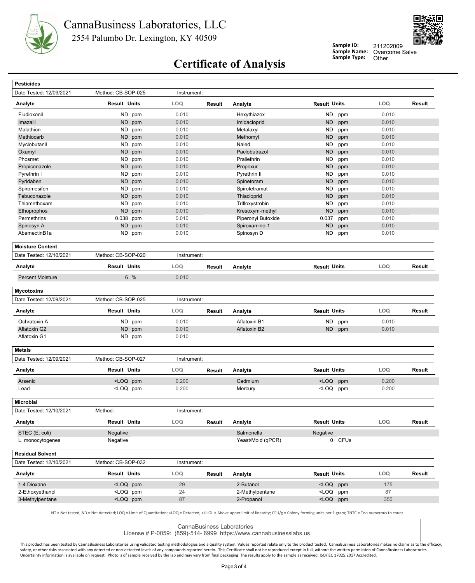



**Sample ID: Sample Name:**

Overcome Salve<br>Other 211202009

# **Certificate of Analysis** Sample Type:

| <b>Pesticides</b>                        |                                                                                                                                                                         |             |        |                    |                                                                                           |        |            |                                   |
|------------------------------------------|-------------------------------------------------------------------------------------------------------------------------------------------------------------------------|-------------|--------|--------------------|-------------------------------------------------------------------------------------------|--------|------------|-----------------------------------|
| Date Tested: 12/09/2021                  | Method: CB-SOP-025                                                                                                                                                      | Instrument: |        |                    |                                                                                           |        |            |                                   |
| Analyte                                  | <b>Result Units</b>                                                                                                                                                     | LOQ         | Result | Analyte            | <b>Result Units</b>                                                                       |        | LOQ        | Result                            |
| Fludioxonil                              | ND ppm                                                                                                                                                                  | 0.010       |        | Hexythiazox        | ND                                                                                        | ppm    | 0.010      |                                   |
| Imazalil                                 | ND ppm                                                                                                                                                                  | 0.010       |        | Imidacloprid       | <b>ND</b>                                                                                 | ppm    | 0.010      |                                   |
| Malathion                                | ND ppm                                                                                                                                                                  | 0.010       |        | Metalaxyl          | ND                                                                                        | ppm    | 0.010      |                                   |
| Methiocarb                               | <b>ND</b><br>ppm                                                                                                                                                        | 0.010       |        | Methomyl           | <b>ND</b>                                                                                 | ppm    | 0.010      |                                   |
| Myclobutanil                             | <b>ND</b><br>ppm                                                                                                                                                        | 0.010       |        | Naled              | <b>ND</b>                                                                                 | ppm    | 0.010      |                                   |
| Oxamyl                                   | <b>ND</b><br>ppm                                                                                                                                                        | 0.010       |        | Paclobutrazol      | <b>ND</b>                                                                                 | ppm    | 0.010      |                                   |
| Phosmet                                  | ND ppm                                                                                                                                                                  | 0.010       |        | Prallethrin        | ND                                                                                        | ppm    | 0.010      |                                   |
| Propiconazole                            | ND ppm                                                                                                                                                                  | 0.010       |        | Propoxur           | <b>ND</b>                                                                                 | ppm    | 0.010      |                                   |
| Pyrethrin I                              | ND.<br>ppm                                                                                                                                                              | 0.010       |        | Pyrethrin II       | ND                                                                                        | ppm    | 0.010      |                                   |
| Pyridaben                                | ND ppm                                                                                                                                                                  | 0.010       |        | Spinetoram         | <b>ND</b>                                                                                 | ppm    | 0.010      |                                   |
| Spiromesifen                             | ND ppm                                                                                                                                                                  | 0.010       |        | Spirotetramat      | <b>ND</b>                                                                                 | ppm    | 0.010      |                                   |
| Tebuconazole                             | ND<br>ppm                                                                                                                                                               | 0.010       |        | Thiacloprid        | <b>ND</b>                                                                                 | ppm    | 0.010      |                                   |
| Thiamethoxam                             | ND ppm                                                                                                                                                                  | 0.010       |        | Trifloxystrobin    | ND                                                                                        | ppm    | 0.010      |                                   |
| Ethoprophos                              | ND ppm                                                                                                                                                                  | 0.010       |        | Kresoxym-methyl    | <b>ND</b>                                                                                 | ppm    | 0.010      |                                   |
| Permethrins                              | 0.038 ppm                                                                                                                                                               | 0.010       |        | Piperonyl Butoxide | 0.037                                                                                     | ppm    | 0.010      |                                   |
| Spinosyn A                               | <b>ND</b><br>ppm                                                                                                                                                        | 0.010       |        | Spiroxamine-1      | <b>ND</b>                                                                                 | ppm    | 0.010      |                                   |
| AbamectinB1a                             | ND ppm                                                                                                                                                                  | 0.010       |        | Spinosyn D         | ND                                                                                        | ppm    | 0.010      |                                   |
| <b>Moisture Content</b>                  |                                                                                                                                                                         |             |        |                    |                                                                                           |        |            |                                   |
| Date Tested: 12/10/2021                  | Method: CB-SOP-020                                                                                                                                                      | Instrument: |        |                    |                                                                                           |        |            |                                   |
| Analyte                                  | <b>Result Units</b>                                                                                                                                                     | LOQ         | Result | Analyte            | <b>Result Units</b>                                                                       |        | LOQ        | Result                            |
| <b>Percent Moisture</b>                  | 6 %                                                                                                                                                                     | 0.010       |        |                    |                                                                                           |        |            |                                   |
| <b>Mycotoxins</b>                        |                                                                                                                                                                         |             |        |                    |                                                                                           |        |            |                                   |
| Date Tested: 12/09/2021                  | Method: CB-SOP-025                                                                                                                                                      | Instrument: |        |                    |                                                                                           |        |            |                                   |
| Analyte                                  | <b>Result Units</b>                                                                                                                                                     | <b>LOQ</b>  | Result | Analyte            | <b>Result Units</b>                                                                       |        | LOQ        | Result                            |
| Ochratoxin A                             | ND ppm                                                                                                                                                                  | 0.010       |        | Aflatoxin B1       | ND                                                                                        | ppm    | 0.010      |                                   |
| Aflatoxin G2                             | ND ppm                                                                                                                                                                  | 0.010       |        | Aflatoxin B2       | ND .                                                                                      | ppm    | 0.010      |                                   |
| Aflatoxin G1                             | ND ppm                                                                                                                                                                  | 0.010       |        |                    |                                                                                           |        |            |                                   |
|                                          |                                                                                                                                                                         |             |        |                    |                                                                                           |        |            |                                   |
| <b>Metals</b><br>Date Tested: 12/09/2021 |                                                                                                                                                                         |             |        |                    |                                                                                           |        |            |                                   |
|                                          |                                                                                                                                                                         |             |        |                    |                                                                                           |        |            |                                   |
|                                          | Method: CB-SOP-027                                                                                                                                                      | Instrument: |        |                    |                                                                                           |        |            |                                   |
| Analyte                                  | <b>Result Units</b>                                                                                                                                                     | LOQ         | Result | Analyte            | <b>Result Units</b>                                                                       |        | LOQ        |                                   |
| Arsenic                                  | <loq ppm<="" td=""><td>0.200</td><td></td><td>Cadmium</td><td><loq< td=""><td>ppm</td><td>0.200</td><td></td></loq<></td></loq>                                         | 0.200       |        | Cadmium            | <loq< td=""><td>ppm</td><td>0.200</td><td></td></loq<>                                    | ppm    | 0.200      |                                   |
| Lead                                     | <loq ppm<="" td=""><td>0.200</td><td></td><td>Mercury</td><td><loq ppm<="" td=""><td></td><td>0.200</td><td></td></loq></td></loq>                                      | 0.200       |        | Mercury            | <loq ppm<="" td=""><td></td><td>0.200</td><td></td></loq>                                 |        | 0.200      |                                   |
| <b>Microbial</b>                         |                                                                                                                                                                         |             |        |                    |                                                                                           |        |            |                                   |
| Date Tested: 12/10/2021                  | Method:                                                                                                                                                                 | Instrument: |        |                    |                                                                                           |        |            |                                   |
| Analyte                                  | <b>Result Units</b>                                                                                                                                                     | <b>LOQ</b>  | Result | Analyte            | <b>Result Units</b>                                                                       |        | <b>LOQ</b> |                                   |
| STEC (E. coli)                           | Negative                                                                                                                                                                |             |        | Salmonella         | Negative                                                                                  |        |            |                                   |
| L. monocytogenes                         | Negative                                                                                                                                                                |             |        | Yeast/Mold (qPCR)  |                                                                                           | 0 CFUs |            |                                   |
| <b>Residual Solvent</b>                  |                                                                                                                                                                         |             |        |                    |                                                                                           |        |            |                                   |
| Date Tested: 12/10/2021                  | Method: CB-SOP-032                                                                                                                                                      | Instrument: |        |                    |                                                                                           |        |            |                                   |
| Analyte                                  | <b>Result Units</b>                                                                                                                                                     | <b>LOQ</b>  | Result | Analyte            | <b>Result Units</b>                                                                       |        | LOQ        |                                   |
| 1-4 Dioxane                              | <loq ppm<="" td=""><td>29</td><td></td><td>2-Butanol</td><td><loq ppm<="" td=""><td></td><td>175</td><td></td></loq></td></loq>                                         | 29          |        | 2-Butanol          | <loq ppm<="" td=""><td></td><td>175</td><td></td></loq>                                   |        | 175        |                                   |
| 2-Ethoxyethanol                          | <loq ppm<="" td=""><td>24</td><td></td><td>2-Methylpentane</td><td><loq ppm<="" td=""><td></td><td>87</td><td><b>Result</b><br/>Result<br/>Result</td></loq></td></loq> | 24          |        | 2-Methylpentane    | <loq ppm<="" td=""><td></td><td>87</td><td><b>Result</b><br/>Result<br/>Result</td></loq> |        | 87         | <b>Result</b><br>Result<br>Result |

CannaBusiness Laboratories License # P-0059: (859)-514- 6999 https://www.cannabusinesslabs.us

This product has been tested by CannaBusiness Laboratories using validated testing methodologies and a quality system. Values reported relate only to the product tested. CannaBusiness Laboratories makes no claims as to the safety, or other risks associated with any detected or non-detected levels of any compounds reported herein. This Certificate shall not be reproduced except in full, without the written permission of CannaBusiness Laborato

Uncertainty information is available on request. Photo is of sample received by the lab and may vary from final packaging. The results apply to the sample as received. ISO/IEC 17025:2017 Accredited.